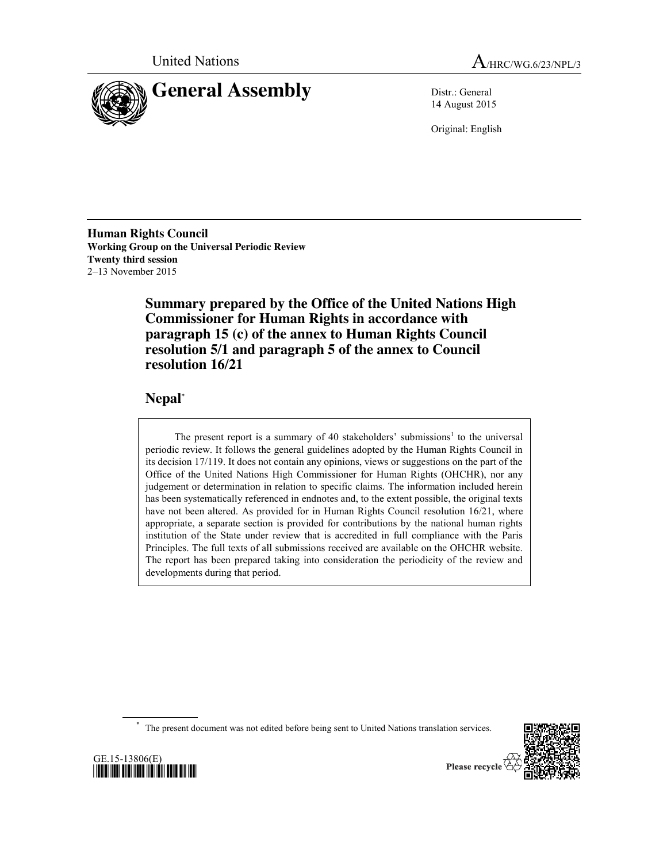



14 August 2015

Original: English

**Human Rights Council Working Group on the Universal Periodic Review Twenty third session** 2–13 November 2015

> **Summary prepared by the Office of the United Nations High Commissioner for Human Rights in accordance with paragraph 15 (c) of the annex to Human Rights Council resolution 5/1 and paragraph 5 of the annex to Council resolution 16/21**

# **Nepal**\*

The present report is a summary of 40 stakeholders' submissions<sup>1</sup> to the universal periodic review. It follows the general guidelines adopted by the Human Rights Council in its decision 17/119. It does not contain any opinions, views or suggestions on the part of the Office of the United Nations High Commissioner for Human Rights (OHCHR), nor any judgement or determination in relation to specific claims. The information included herein has been systematically referenced in endnotes and, to the extent possible, the original texts have not been altered. As provided for in Human Rights Council resolution 16/21, where appropriate, a separate section is provided for contributions by the national human rights institution of the State under review that is accredited in full compliance with the Paris Principles. The full texts of all submissions received are available on the OHCHR website. The report has been prepared taking into consideration the periodicity of the review and developments during that period.

The present document was not edited before being sent to United Nations translation services.



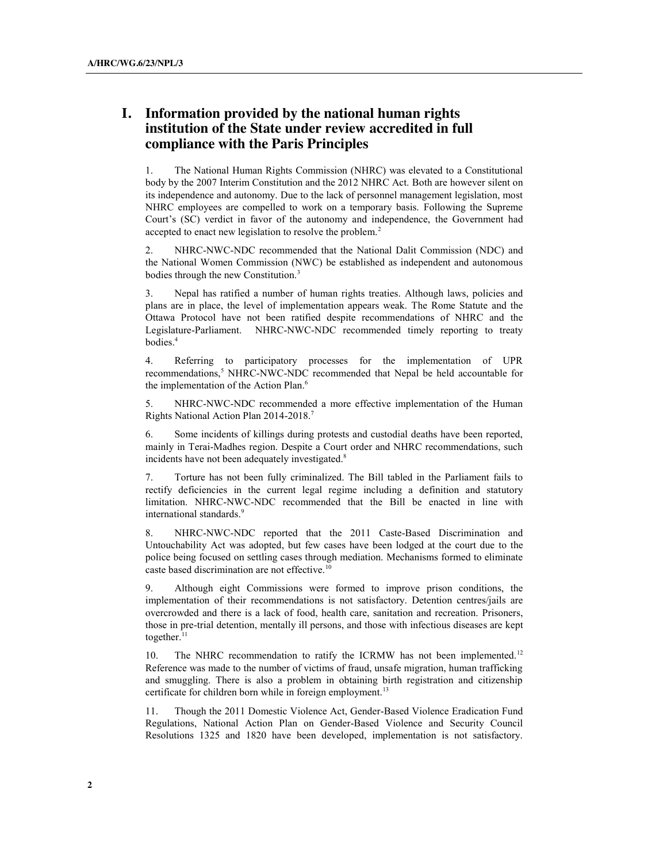# **I. Information provided by the national human rights institution of the State under review accredited in full compliance with the Paris Principles**

1. The National Human Rights Commission (NHRC) was elevated to a Constitutional body by the 2007 Interim Constitution and the 2012 NHRC Act. Both are however silent on its independence and autonomy. Due to the lack of personnel management legislation, most NHRC employees are compelled to work on a temporary basis. Following the Supreme Court's (SC) verdict in favor of the autonomy and independence, the Government had accepted to enact new legislation to resolve the problem.<sup>2</sup>

2. NHRC-NWC-NDC recommended that the National Dalit Commission (NDC) and the National Women Commission (NWC) be established as independent and autonomous bodies through the new Constitution.<sup>3</sup>

3. Nepal has ratified a number of human rights treaties. Although laws, policies and plans are in place, the level of implementation appears weak. The Rome Statute and the Ottawa Protocol have not been ratified despite recommendations of NHRC and the Legislature-Parliament. NHRC-NWC-NDC recommended timely reporting to treaty bodies.4

4. Referring to participatory processes for the implementation of UPR recommendations,<sup>5</sup> NHRC-NWC-NDC recommended that Nepal be held accountable for the implementation of the Action Plan. 6

5. NHRC-NWC-NDC recommended a more effective implementation of the Human Rights National Action Plan 2014-2018.7

6. Some incidents of killings during protests and custodial deaths have been reported, mainly in Terai-Madhes region. Despite a Court order and NHRC recommendations, such incidents have not been adequately investigated.<sup>8</sup>

7. Torture has not been fully criminalized. The Bill tabled in the Parliament fails to rectify deficiencies in the current legal regime including a definition and statutory limitation. NHRC-NWC-NDC recommended that the Bill be enacted in line with international standards. 9

8. NHRC-NWC-NDC reported that the 2011 Caste-Based Discrimination and Untouchability Act was adopted, but few cases have been lodged at the court due to the police being focused on settling cases through mediation. Mechanisms formed to eliminate caste based discrimination are not effective.<sup>10</sup>

9. Although eight Commissions were formed to improve prison conditions, the implementation of their recommendations is not satisfactory. Detention centres/jails are overcrowded and there is a lack of food, health care, sanitation and recreation. Prisoners, those in pre-trial detention, mentally ill persons, and those with infectious diseases are kept together.<sup>11</sup>

10. The NHRC recommendation to ratify the ICRMW has not been implemented.<sup>12</sup> Reference was made to the number of victims of fraud, unsafe migration, human trafficking and smuggling. There is also a problem in obtaining birth registration and citizenship certificate for children born while in foreign employment.<sup>13</sup>

11. Though the 2011 Domestic Violence Act, Gender-Based Violence Eradication Fund Regulations, National Action Plan on Gender-Based Violence and Security Council Resolutions 1325 and 1820 have been developed, implementation is not satisfactory.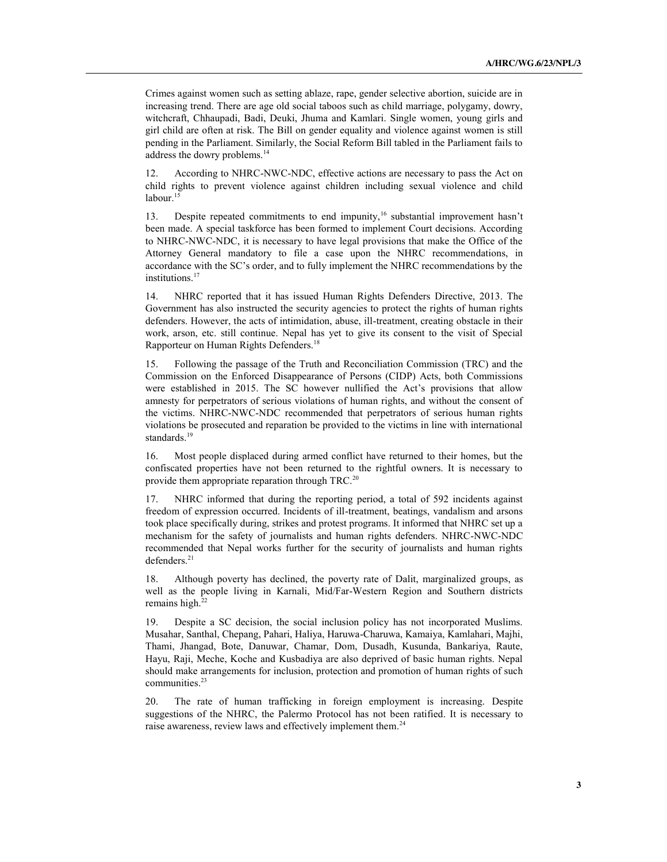Crimes against women such as setting ablaze, rape, gender selective abortion, suicide are in increasing trend. There are age old social taboos such as child marriage, polygamy, dowry, witchcraft, Chhaupadi, Badi, Deuki, Jhuma and Kamlari. Single women, young girls and girl child are often at risk. The Bill on gender equality and violence against women is still pending in the Parliament. Similarly, the Social Reform Bill tabled in the Parliament fails to address the dowry problems.<sup>14</sup>

12. According to NHRC-NWC-NDC, effective actions are necessary to pass the Act on child rights to prevent violence against children including sexual violence and child labour.<sup>15</sup>

13. Despite repeated commitments to end impunity,<sup>16</sup> substantial improvement hasn't been made. A special taskforce has been formed to implement Court decisions. According to NHRC-NWC-NDC, it is necessary to have legal provisions that make the Office of the Attorney General mandatory to file a case upon the NHRC recommendations, in accordance with the SC's order, and to fully implement the NHRC recommendations by the institutions.<sup>17</sup>

14. NHRC reported that it has issued Human Rights Defenders Directive, 2013. The Government has also instructed the security agencies to protect the rights of human rights defenders. However, the acts of intimidation, abuse, ill-treatment, creating obstacle in their work, arson, etc. still continue. Nepal has yet to give its consent to the visit of Special Rapporteur on Human Rights Defenders.18

15. Following the passage of the Truth and Reconciliation Commission (TRC) and the Commission on the Enforced Disappearance of Persons (CIDP) Acts, both Commissions were established in 2015. The SC however nullified the Act's provisions that allow amnesty for perpetrators of serious violations of human rights, and without the consent of the victims. NHRC-NWC-NDC recommended that perpetrators of serious human rights violations be prosecuted and reparation be provided to the victims in line with international standards.<sup>19</sup>

16. Most people displaced during armed conflict have returned to their homes, but the confiscated properties have not been returned to the rightful owners. It is necessary to provide them appropriate reparation through TRC.<sup>20</sup>

17. NHRC informed that during the reporting period, a total of 592 incidents against freedom of expression occurred. Incidents of ill-treatment, beatings, vandalism and arsons took place specifically during, strikes and protest programs. It informed that NHRC set up a mechanism for the safety of journalists and human rights defenders. NHRC-NWC-NDC recommended that Nepal works further for the security of journalists and human rights defenders.<sup>21</sup>

18. Although poverty has declined, the poverty rate of Dalit, marginalized groups, as well as the people living in Karnali, Mid/Far-Western Region and Southern districts remains high. $22$ 

19. Despite a SC decision, the social inclusion policy has not incorporated Muslims. Musahar, Santhal, Chepang, Pahari, Haliya, Haruwa-Charuwa, Kamaiya, Kamlahari, Majhi, Thami, Jhangad, Bote, Danuwar, Chamar, Dom, Dusadh, Kusunda, Bankariya, Raute, Hayu, Raji, Meche, Koche and Kusbadiya are also deprived of basic human rights. Nepal should make arrangements for inclusion, protection and promotion of human rights of such communities.<sup>23</sup>

20. The rate of human trafficking in foreign employment is increasing. Despite suggestions of the NHRC, the Palermo Protocol has not been ratified. It is necessary to raise awareness, review laws and effectively implement them.<sup>24</sup>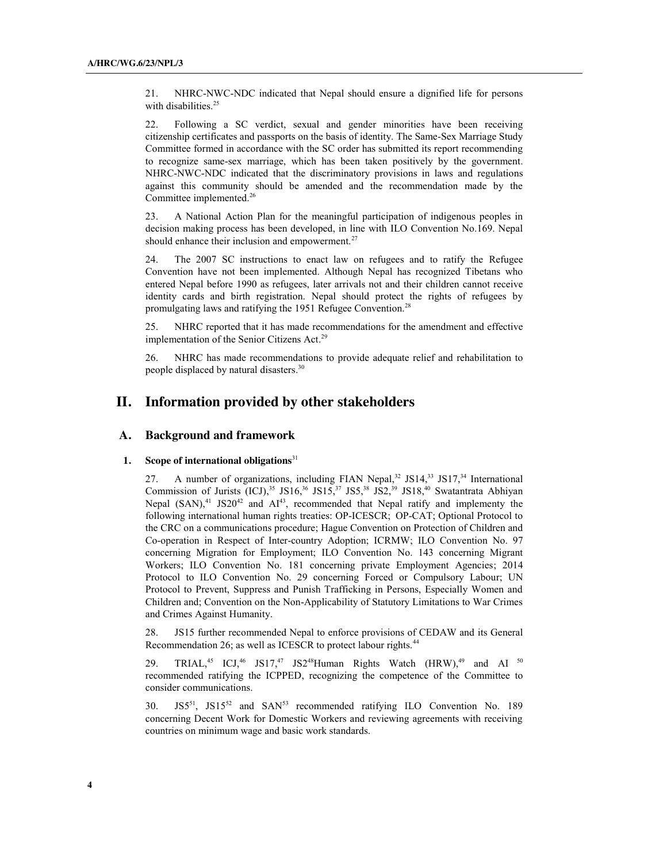21. NHRC-NWC-NDC indicated that Nepal should ensure a dignified life for persons with disabilities.<sup>25</sup>

22. Following a SC verdict, sexual and gender minorities have been receiving citizenship certificates and passports on the basis of identity. The Same-Sex Marriage Study Committee formed in accordance with the SC order has submitted its report recommending to recognize same-sex marriage, which has been taken positively by the government. NHRC-NWC-NDC indicated that the discriminatory provisions in laws and regulations against this community should be amended and the recommendation made by the Committee implemented.26

23. A National Action Plan for the meaningful participation of indigenous peoples in decision making process has been developed, in line with ILO Convention No.169. Nepal should enhance their inclusion and empowerment.<sup>27</sup>

24. The 2007 SC instructions to enact law on refugees and to ratify the Refugee Convention have not been implemented. Although Nepal has recognized Tibetans who entered Nepal before 1990 as refugees, later arrivals not and their children cannot receive identity cards and birth registration. Nepal should protect the rights of refugees by promulgating laws and ratifying the 1951 Refugee Convention.<sup>28</sup>

25. NHRC reported that it has made recommendations for the amendment and effective implementation of the Senior Citizens Act.<sup>29</sup>

26. NHRC has made recommendations to provide adequate relief and rehabilitation to people displaced by natural disasters. 30

## **II. Information provided by other stakeholders**

## **A. Background and framework**

### **1. Scope of international obligations**<sup>31</sup>

27. A number of organizations, including FIAN Nepal,<sup>32</sup> JS14,<sup>33</sup> JS17,<sup>34</sup> International Commission of Jurists  $(ICJ)$ ,<sup>35</sup> JS16,<sup>36</sup> JS15,<sup>37</sup> JS5,<sup>38</sup> JS2,<sup>39</sup> JS18,<sup>40</sup> Swatantrata Abhiyan Nepal  $(SAN)$ ,<sup>41</sup> JS20<sup>42</sup> and  $AI<sup>43</sup>$ , recommended that Nepal ratify and implementy the following international human rights treaties: OP-ICESCR; OP-CAT; Optional Protocol to the CRC on a communications procedure; Hague Convention on Protection of Children and Co-operation in Respect of Inter-country Adoption; ICRMW; ILO Convention No. 97 concerning Migration for Employment; ILO Convention No. 143 concerning Migrant Workers; ILO Convention No. 181 concerning private Employment Agencies; 2014 Protocol to ILO Convention No. 29 concerning Forced or Compulsory Labour; UN Protocol to Prevent, Suppress and Punish Trafficking in Persons, Especially Women and Children and; Convention on the Non-Applicability of Statutory Limitations to War Crimes and Crimes Against Humanity.

28. JS15 further recommended Nepal to enforce provisions of CEDAW and its General Recommendation 26; as well as ICESCR to protect labour rights.<sup>44</sup>

29. TRIAL,<sup>45</sup> ICJ,<sup>46</sup> JS17,<sup>47</sup> JS2<sup>48</sup>Human Rights Watch (HRW),<sup>49</sup> and AI <sup>50</sup> recommended ratifying the ICPPED, recognizing the competence of the Committee to consider communications.

30. JS551, JS1552 and SAN53 recommended ratifying ILO Convention No. 189 concerning Decent Work for Domestic Workers and reviewing agreements with receiving countries on minimum wage and basic work standards.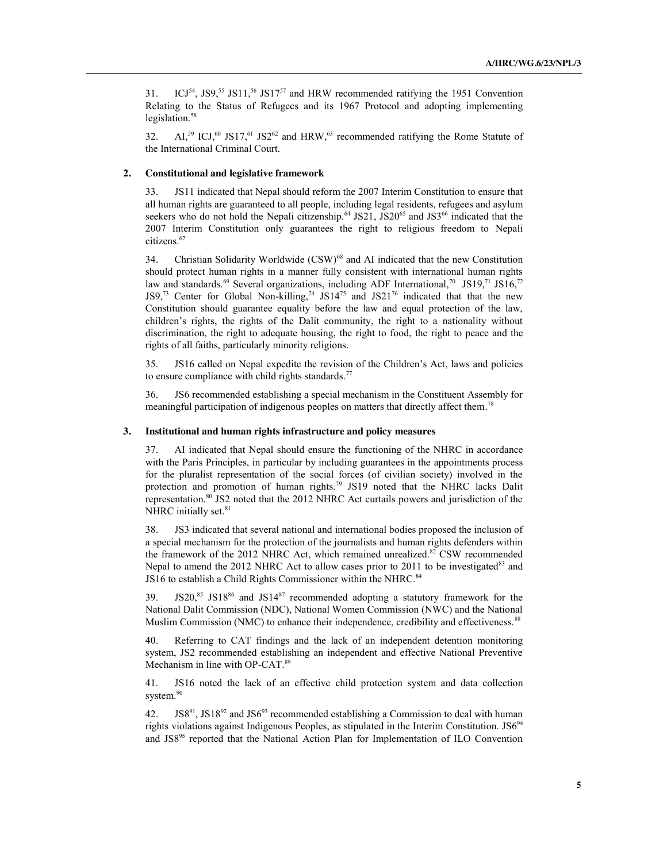31. ICJ<sup>54</sup>, JS9,<sup>55</sup> JS11,<sup>56</sup> JS17<sup>57</sup> and HRW recommended ratifying the 1951 Convention Relating to the Status of Refugees and its 1967 Protocol and adopting implementing legislation.<sup>58</sup>

32. AI,<sup>59</sup> ICJ,<sup>60</sup> JS17,<sup>61</sup> JS2<sup>62</sup> and HRW,<sup>63</sup> recommended ratifying the Rome Statute of the International Criminal Court.

## **2. Constitutional and legislative framework**

33. JS11 indicated that Nepal should reform the 2007 Interim Constitution to ensure that all human rights are guaranteed to all people, including legal residents, refugees and asylum seekers who do not hold the Nepali citizenship.<sup>64</sup> JS21, JS20<sup>65</sup> and JS3<sup>66</sup> indicated that the 2007 Interim Constitution only guarantees the right to religious freedom to Nepali citizens. 67

34. Christian Solidarity Worldwide (CSW)<sup>68</sup> and AI indicated that the new Constitution should protect human rights in a manner fully consistent with international human rights law and standards.<sup>69</sup> Several organizations, including ADF International,<sup>70</sup> JS19,<sup>71</sup> JS16,<sup>72</sup> JS9,<sup>73</sup> Center for Global Non-killing,<sup>74</sup> JS14<sup>75</sup> and JS21<sup>76</sup> indicated that that the new Constitution should guarantee equality before the law and equal protection of the law, children's rights, the rights of the Dalit community, the right to a nationality without discrimination, the right to adequate housing, the right to food, the right to peace and the rights of all faiths, particularly minority religions.

35. JS16 called on Nepal expedite the revision of the Children's Act, laws and policies to ensure compliance with child rights standards.<sup>77</sup>

36. JS6 recommended establishing a special mechanism in the Constituent Assembly for meaningful participation of indigenous peoples on matters that directly affect them.<sup>78</sup>

#### **3. Institutional and human rights infrastructure and policy measures**

37. AI indicated that Nepal should ensure the functioning of the NHRC in accordance with the Paris Principles, in particular by including guarantees in the appointments process for the pluralist representation of the social forces (of civilian society) involved in the protection and promotion of human rights.<sup>79</sup> JS19 noted that the NHRC lacks Dalit representation.80 JS2 noted that the 2012 NHRC Act curtails powers and jurisdiction of the NHRC initially set.<sup>81</sup>

38. JS3 indicated that several national and international bodies proposed the inclusion of a special mechanism for the protection of the journalists and human rights defenders within the framework of the 2012 NHRC Act, which remained unrealized.<sup>82</sup> CSW recommended Nepal to amend the 2012 NHRC Act to allow cases prior to 2011 to be investigated<sup>83</sup> and JS16 to establish a Child Rights Commissioner within the NHRC.<sup>84</sup>

39. JS20, $85$  JS18 $86$  and JS14 $87$  recommended adopting a statutory framework for the National Dalit Commission (NDC), National Women Commission (NWC) and the National Muslim Commission (NMC) to enhance their independence, credibility and effectiveness.<sup>88</sup>

40. Referring to CAT findings and the lack of an independent detention monitoring system, JS2 recommended establishing an independent and effective National Preventive Mechanism in line with OP-CAT.<sup>89</sup>

41. JS16 noted the lack of an effective child protection system and data collection system.<sup>90</sup>

42. JS8<sup>91</sup>, JS18<sup>92</sup> and JS6<sup>93</sup> recommended establishing a Commission to deal with human rights violations against Indigenous Peoples, as stipulated in the Interim Constitution.  $JS6<sup>94</sup>$ and JS895 reported that the National Action Plan for Implementation of ILO Convention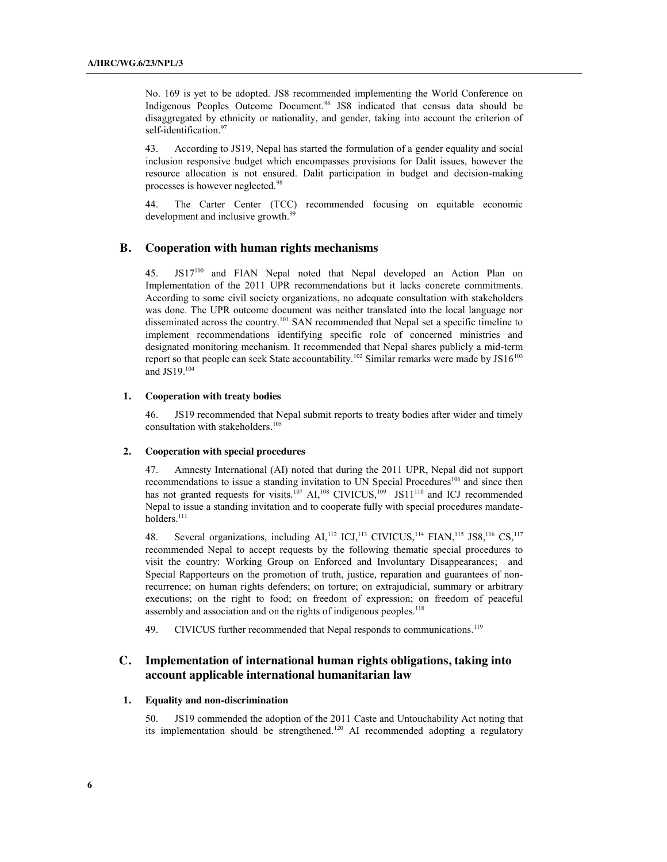No. 169 is yet to be adopted. JS8 recommended implementing the World Conference on Indigenous Peoples Outcome Document.96 JS8 indicated that census data should be disaggregated by ethnicity or nationality, and gender, taking into account the criterion of self-identification.<sup>97</sup>

43. According to JS19, Nepal has started the formulation of a gender equality and social inclusion responsive budget which encompasses provisions for Dalit issues, however the resource allocation is not ensured. Dalit participation in budget and decision-making processes is however neglected.98

44. The Carter Center (TCC) recommended focusing on equitable economic development and inclusive growth.<sup>99</sup>

## **B. Cooperation with human rights mechanisms**

JS17<sup>100</sup> and FIAN Nepal noted that Nepal developed an Action Plan on Implementation of the 2011 UPR recommendations but it lacks concrete commitments. According to some civil society organizations, no adequate consultation with stakeholders was done. The UPR outcome document was neither translated into the local language nor disseminated across the country.<sup>101</sup> SAN recommended that Nepal set a specific timeline to implement recommendations identifying specific role of concerned ministries and designated monitoring mechanism. It recommended that Nepal shares publicly a mid-term report so that people can seek State accountability.<sup>102</sup> Similar remarks were made by JS16<sup>103</sup> and  $JS19.^{104}$ 

#### **1. Cooperation with treaty bodies**

46. JS19 recommended that Nepal submit reports to treaty bodies after wider and timely consultation with stakeholders. 105

#### **2. Cooperation with special procedures**

47. Amnesty International (AI) noted that during the 2011 UPR, Nepal did not support recommendations to issue a standing invitation to UN Special Procedures<sup>106</sup> and since then has not granted requests for visits.<sup>107</sup> AI,<sup>108</sup> CIVICUS,<sup>109</sup> JS11<sup>110</sup> and ICJ recommended Nepal to issue a standing invitation and to cooperate fully with special procedures mandateholders.<sup>111</sup>

48. Several organizations, including AI,<sup>112</sup> ICJ,<sup>113</sup> CIVICUS,<sup>114</sup> FIAN,<sup>115</sup> JS8,<sup>116</sup> CS,<sup>117</sup> recommended Nepal to accept requests by the following thematic special procedures to visit the country: Working Group on Enforced and Involuntary Disappearances; and Special Rapporteurs on the promotion of truth, justice, reparation and guarantees of nonrecurrence; on human rights defenders; on torture; on extrajudicial, summary or arbitrary executions; on the right to food; on freedom of expression; on freedom of peaceful assembly and association and on the rights of indigenous peoples.<sup>118</sup>

49. CIVICUS further recommended that Nepal responds to communications.<sup>119</sup>

## **C. Implementation of international human rights obligations, taking into account applicable international humanitarian law**

#### **1. Equality and non-discrimination**

50. JS19 commended the adoption of the 2011 Caste and Untouchability Act noting that its implementation should be strengthened. <sup>120</sup> AI recommended adopting a regulatory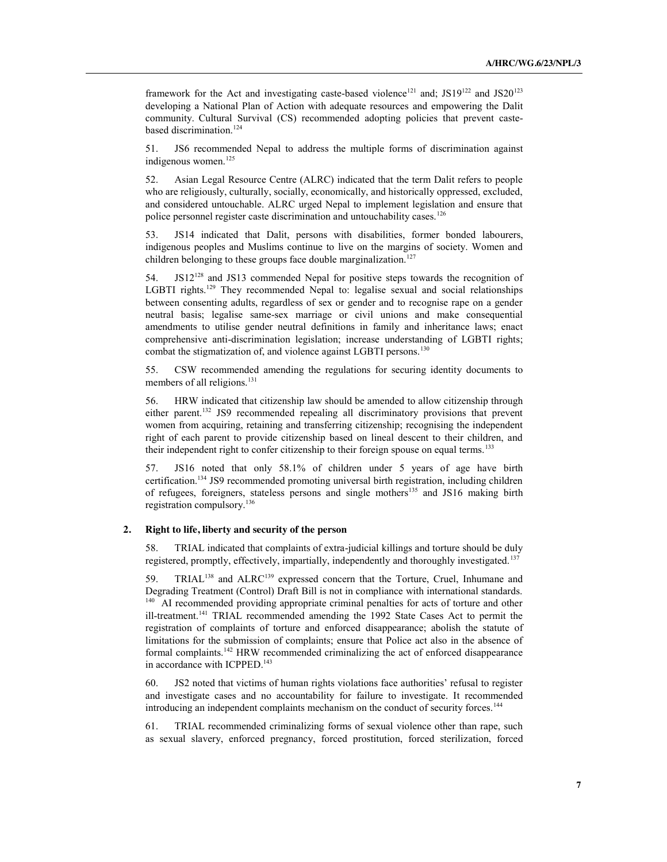framework for the Act and investigating caste-based violence<sup>121</sup> and; JS19<sup>122</sup> and JS20<sup>123</sup> developing a National Plan of Action with adequate resources and empowering the Dalit community. Cultural Survival (CS) recommended adopting policies that prevent castebased discrimination. 124

51. JS6 recommended Nepal to address the multiple forms of discrimination against indigenous women.<sup>125</sup>

52. Asian Legal Resource Centre (ALRC) indicated that the term Dalit refers to people who are religiously, culturally, socially, economically, and historically oppressed, excluded, and considered untouchable. ALRC urged Nepal to implement legislation and ensure that police personnel register caste discrimination and untouchability cases.<sup>126</sup>

53. JS14 indicated that Dalit, persons with disabilities, former bonded labourers, indigenous peoples and Muslims continue to live on the margins of society. Women and children belonging to these groups face double marginalization.<sup>127</sup>

54. JS12128 and JS13 commended Nepal for positive steps towards the recognition of LGBTI rights.<sup>129</sup> They recommended Nepal to: legalise sexual and social relationships between consenting adults, regardless of sex or gender and to recognise rape on a gender neutral basis; legalise same-sex marriage or civil unions and make consequential amendments to utilise gender neutral definitions in family and inheritance laws; enact comprehensive anti-discrimination legislation; increase understanding of LGBTI rights; combat the stigmatization of, and violence against LGBTI persons.<sup>130</sup>

55. CSW recommended amending the regulations for securing identity documents to members of all religions.<sup>131</sup>

56. HRW indicated that citizenship law should be amended to allow citizenship through either parent.132 JS9 recommended repealing all discriminatory provisions that prevent women from acquiring, retaining and transferring citizenship; recognising the independent right of each parent to provide citizenship based on lineal descent to their children, and their independent right to confer citizenship to their foreign spouse on equal terms.<sup>133</sup>

57. JS16 noted that only 58.1% of children under 5 years of age have birth certification.134 JS9 recommended promoting universal birth registration, including children of refugees, foreigners, stateless persons and single mothers<sup>135</sup> and JS16 making birth registration compulsory.136

### **2. Right to life, liberty and security of the person**

58. TRIAL indicated that complaints of extra-judicial killings and torture should be duly registered, promptly, effectively, impartially, independently and thoroughly investigated.<sup>137</sup>

59. TRIAL<sup>138</sup> and ALRC<sup>139</sup> expressed concern that the Torture, Cruel, Inhumane and Degrading Treatment (Control) Draft Bill is not in compliance with international standards. <sup>140</sup> AI recommended providing appropriate criminal penalties for acts of torture and other ill-treatment.141 TRIAL recommended amending the 1992 State Cases Act to permit the registration of complaints of torture and enforced disappearance; abolish the statute of limitations for the submission of complaints; ensure that Police act also in the absence of formal complaints.142 HRW recommended criminalizing the act of enforced disappearance in accordance with ICPPED.<sup>143</sup>

60. JS2 noted that victims of human rights violations face authorities' refusal to register and investigate cases and no accountability for failure to investigate. It recommended introducing an independent complaints mechanism on the conduct of security forces.144

61. TRIAL recommended criminalizing forms of sexual violence other than rape, such as sexual slavery, enforced pregnancy, forced prostitution, forced sterilization, forced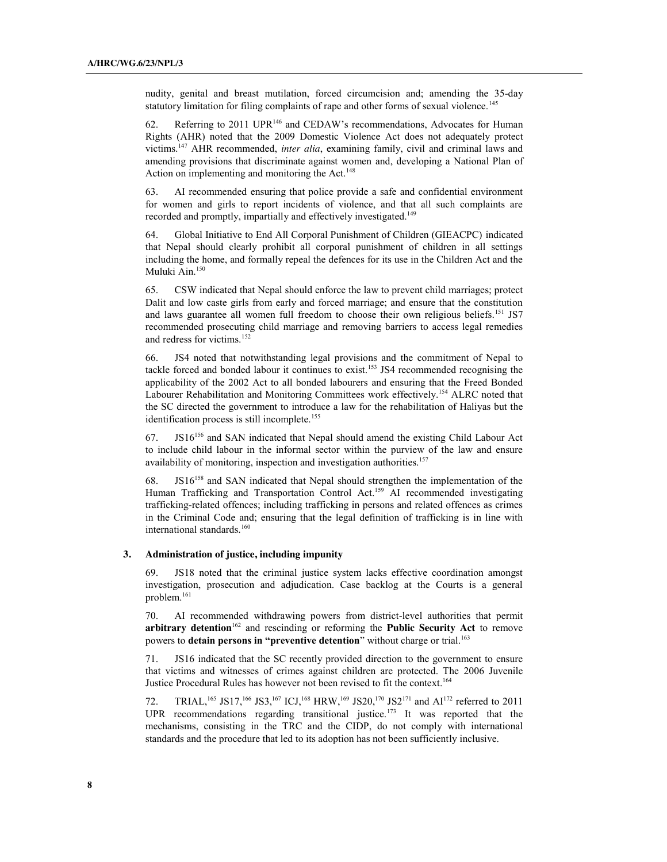nudity, genital and breast mutilation, forced circumcision and; amending the 35-day statutory limitation for filing complaints of rape and other forms of sexual violence.<sup>145</sup>

62. Referring to 2011 UPR146 and CEDAW's recommendations, Advocates for Human Rights (AHR) noted that the 2009 Domestic Violence Act does not adequately protect victims.147 AHR recommended, *inter alia*, examining family, civil and criminal laws and amending provisions that discriminate against women and, developing a National Plan of Action on implementing and monitoring the Act. 148

63. AI recommended ensuring that police provide a safe and confidential environment for women and girls to report incidents of violence, and that all such complaints are recorded and promptly, impartially and effectively investigated.<sup>149</sup>

64. Global Initiative to End All Corporal Punishment of Children (GIEACPC) indicated that Nepal should clearly prohibit all corporal punishment of children in all settings including the home, and formally repeal the defences for its use in the Children Act and the Muluki Ain.<sup>150</sup>

65. CSW indicated that Nepal should enforce the law to prevent child marriages; protect Dalit and low caste girls from early and forced marriage; and ensure that the constitution and laws guarantee all women full freedom to choose their own religious beliefs.<sup>151</sup> JS7 recommended prosecuting child marriage and removing barriers to access legal remedies and redress for victims.152

66. JS4 noted that notwithstanding legal provisions and the commitment of Nepal to tackle forced and bonded labour it continues to exist.<sup>153</sup> JS4 recommended recognising the applicability of the 2002 Act to all bonded labourers and ensuring that the Freed Bonded Labourer Rehabilitation and Monitoring Committees work effectively.<sup>154</sup> ALRC noted that the SC directed the government to introduce a law for the rehabilitation of Haliyas but the identification process is still incomplete.<sup>155</sup>

67. JS16156 and SAN indicated that Nepal should amend the existing Child Labour Act to include child labour in the informal sector within the purview of the law and ensure availability of monitoring, inspection and investigation authorities.<sup>157</sup>

68. JS16158 and SAN indicated that Nepal should strengthen the implementation of the Human Trafficking and Transportation Control Act.<sup>159</sup> AI recommended investigating trafficking-related offences; including trafficking in persons and related offences as crimes in the Criminal Code and; ensuring that the legal definition of trafficking is in line with international standards.<sup>160</sup>

#### **3. Administration of justice, including impunity**

69. JS18 noted that the criminal justice system lacks effective coordination amongst investigation, prosecution and adjudication. Case backlog at the Courts is a general problem.161

70. AI recommended withdrawing powers from district-level authorities that permit arbitrary detention<sup>162</sup> and rescinding or reforming the Public Security Act to remove powers to **detain persons in "preventive detention**" without charge or trial.<sup>163</sup>

71. JS16 indicated that the SC recently provided direction to the government to ensure that victims and witnesses of crimes against children are protected. The 2006 Juvenile Justice Procedural Rules has however not been revised to fit the context. 164

72. TRIAL, <sup>165</sup> JS17, <sup>166</sup> JS3, <sup>167</sup> ICJ, <sup>168</sup> HRW, <sup>169</sup> JS20, <sup>170</sup> JS2<sup>171</sup> and AI<sup>172</sup> referred to 2011 UPR recommendations regarding transitional justice.<sup>173</sup> It was reported that the mechanisms, consisting in the TRC and the CIDP, do not comply with international standards and the procedure that led to its adoption has not been sufficiently inclusive.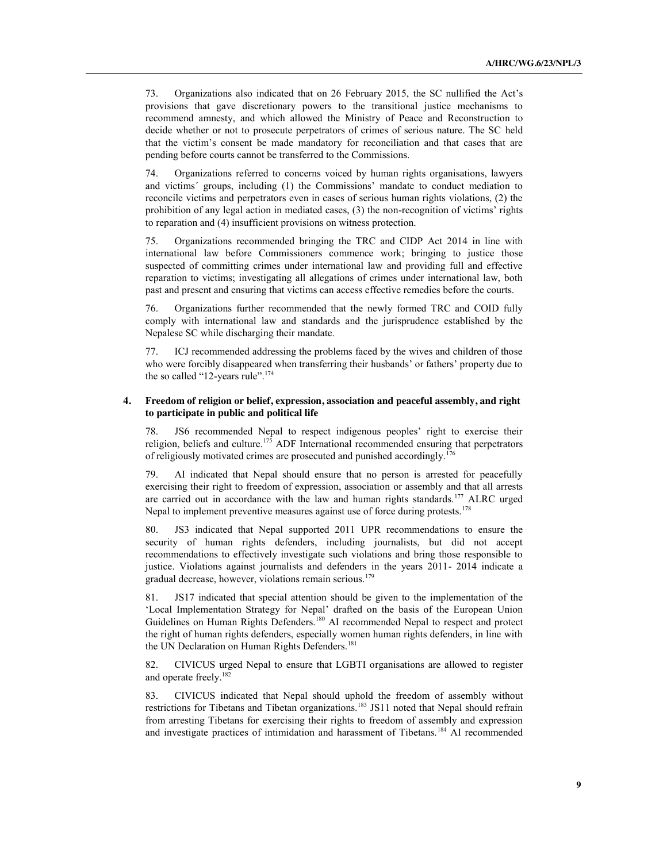73. Organizations also indicated that on 26 February 2015, the SC nullified the Act's provisions that gave discretionary powers to the transitional justice mechanisms to recommend amnesty, and which allowed the Ministry of Peace and Reconstruction to decide whether or not to prosecute perpetrators of crimes of serious nature. The SC held that the victim's consent be made mandatory for reconciliation and that cases that are pending before courts cannot be transferred to the Commissions.

74. Organizations referred to concerns voiced by human rights organisations, lawyers and victims´ groups, including (1) the Commissions' mandate to conduct mediation to reconcile victims and perpetrators even in cases of serious human rights violations, (2) the prohibition of any legal action in mediated cases, (3) the non-recognition of victims' rights to reparation and (4) insufficient provisions on witness protection.

75. Organizations recommended bringing the TRC and CIDP Act 2014 in line with international law before Commissioners commence work; bringing to justice those suspected of committing crimes under international law and providing full and effective reparation to victims; investigating all allegations of crimes under international law, both past and present and ensuring that victims can access effective remedies before the courts.

76. Organizations further recommended that the newly formed TRC and COID fully comply with international law and standards and the jurisprudence established by the Nepalese SC while discharging their mandate.

77. ICJ recommended addressing the problems faced by the wives and children of those who were forcibly disappeared when transferring their husbands' or fathers' property due to the so called "12-years rule".<sup>174</sup>

## **4. Freedom of religion or belief, expression, association and peaceful assembly, and right to participate in public and political life**

78. JS6 recommended Nepal to respect indigenous peoples' right to exercise their religion, beliefs and culture.<sup>175</sup> ADF International recommended ensuring that perpetrators of religiously motivated crimes are prosecuted and punished accordingly.176

79. AI indicated that Nepal should ensure that no person is arrested for peacefully exercising their right to freedom of expression, association or assembly and that all arrests are carried out in accordance with the law and human rights standards.<sup>177</sup> ALRC urged Nepal to implement preventive measures against use of force during protests.<sup>178</sup>

80. JS3 indicated that Nepal supported 2011 UPR recommendations to ensure the security of human rights defenders, including journalists, but did not accept recommendations to effectively investigate such violations and bring those responsible to justice. Violations against journalists and defenders in the years 2011- 2014 indicate a gradual decrease, however, violations remain serious.<sup>179</sup>

81. JS17 indicated that special attention should be given to the implementation of the 'Local Implementation Strategy for Nepal' drafted on the basis of the European Union Guidelines on Human Rights Defenders.<sup>180</sup> AI recommended Nepal to respect and protect the right of human rights defenders, especially women human rights defenders, in line with the UN Declaration on Human Rights Defenders.<sup>181</sup>

82. CIVICUS urged Nepal to ensure that LGBTI organisations are allowed to register and operate freely.<sup>182</sup>

83. CIVICUS indicated that Nepal should uphold the freedom of assembly without restrictions for Tibetans and Tibetan organizations.<sup>183</sup> JS11 noted that Nepal should refrain from arresting Tibetans for exercising their rights to freedom of assembly and expression and investigate practices of intimidation and harassment of Tibetans.<sup>184</sup> AI recommended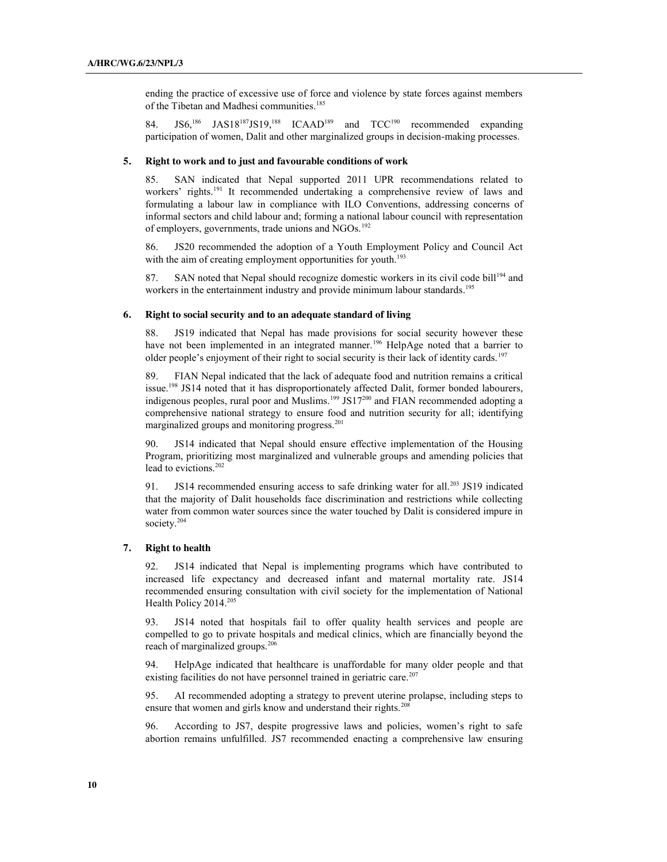ending the practice of excessive use of force and violence by state forces against members of the Tibetan and Madhesi communities.<sup>185</sup>

84. JS6,<sup>186</sup> JAS18<sup>187</sup>JS19,<sup>188</sup> ICAAD<sup>189</sup> and TCC<sup>190</sup> recommended expanding participation of women, Dalit and other marginalized groups in decision-making processes.

#### **5. Right to work and to just and favourable conditions of work**

85. SAN indicated that Nepal supported 2011 UPR recommendations related to workers' rights.<sup>191</sup> It recommended undertaking a comprehensive review of laws and formulating a labour law in compliance with ILO Conventions, addressing concerns of informal sectors and child labour and; forming a national labour council with representation of employers, governments, trade unions and NGOs.<sup>192</sup>

86. JS20 recommended the adoption of a Youth Employment Policy and Council Act with the aim of creating employment opportunities for youth.<sup>193</sup>

87. SAN noted that Nepal should recognize domestic workers in its civil code bill<sup>194</sup> and workers in the entertainment industry and provide minimum labour standards.<sup>195</sup>

#### **6. Right to social security and to an adequate standard of living**

88. JS19 indicated that Nepal has made provisions for social security however these have not been implemented in an integrated manner.<sup>196</sup> HelpAge noted that a barrier to older people's enjoyment of their right to social security is their lack of identity cards.<sup>197</sup>

89. FIAN Nepal indicated that the lack of adequate food and nutrition remains a critical issue.<sup>198</sup> JS14 noted that it has disproportionately affected Dalit, former bonded labourers, indigenous peoples, rural poor and Muslims.<sup>199</sup> JS17<sup>200</sup> and FIAN recommended adopting a comprehensive national strategy to ensure food and nutrition security for all; identifying marginalized groups and monitoring progress. 201

90. JS14 indicated that Nepal should ensure effective implementation of the Housing Program, prioritizing most marginalized and vulnerable groups and amending policies that lead to evictions.<sup>202</sup>

91. JS14 recommended ensuring access to safe drinking water for all.<sup>203</sup> JS19 indicated that the majority of Dalit households face discrimination and restrictions while collecting water from common water sources since the water touched by Dalit is considered impure in society. 204

#### **7. Right to health**

92. JS14 indicated that Nepal is implementing programs which have contributed to increased life expectancy and decreased infant and maternal mortality rate. JS14 recommended ensuring consultation with civil society for the implementation of National Health Policy 2014.<sup>205</sup>

93. JS14 noted that hospitals fail to offer quality health services and people are compelled to go to private hospitals and medical clinics, which are financially beyond the reach of marginalized groups.<sup>206</sup>

94. HelpAge indicated that healthcare is unaffordable for many older people and that existing facilities do not have personnel trained in geriatric care.<sup>207</sup>

95. AI recommended adopting a strategy to prevent uterine prolapse, including steps to ensure that women and girls know and understand their rights.<sup>208</sup>

96. According to JS7, despite progressive laws and policies, women's right to safe abortion remains unfulfilled. JS7 recommended enacting a comprehensive law ensuring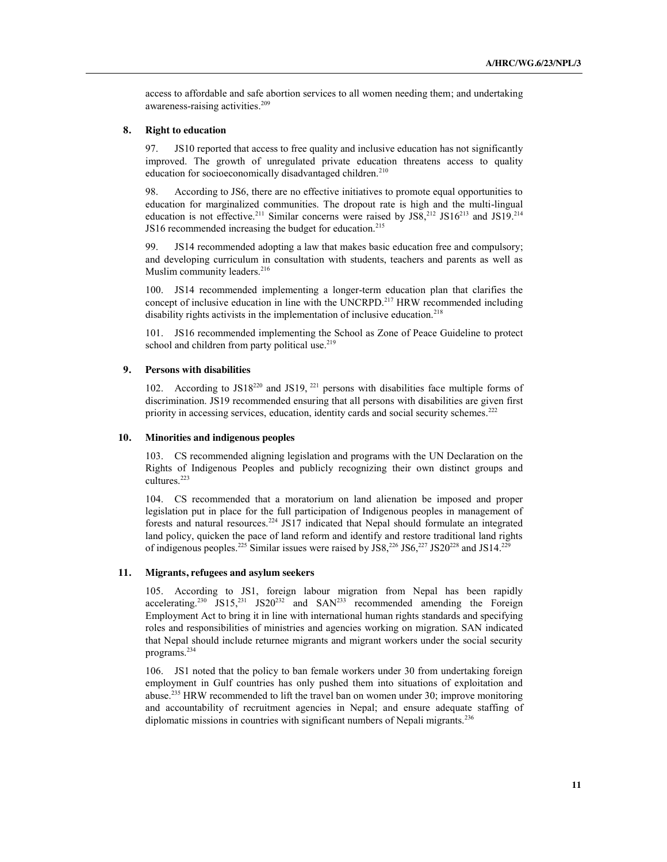access to affordable and safe abortion services to all women needing them; and undertaking awareness-raising activities. 209

#### **8. Right to education**

97. JS10 reported that access to free quality and inclusive education has not significantly improved. The growth of unregulated private education threatens access to quality education for socioeconomically disadvantaged children.<sup>210</sup>

98. According to JS6, there are no effective initiatives to promote equal opportunities to education for marginalized communities. The dropout rate is high and the multi-lingual education is not effective.<sup>211</sup> Similar concerns were raised by JS8,<sup>212</sup> JS16<sup>213</sup> and JS19.<sup>214</sup> JS16 recommended increasing the budget for education.<sup>215</sup>

99. JS14 recommended adopting a law that makes basic education free and compulsory; and developing curriculum in consultation with students, teachers and parents as well as Muslim community leaders.<sup>216</sup>

100. JS14 recommended implementing a longer-term education plan that clarifies the concept of inclusive education in line with the UNCRPD.<sup>217</sup> HRW recommended including disability rights activists in the implementation of inclusive education.<sup>218</sup>

101. JS16 recommended implementing the School as Zone of Peace Guideline to protect school and children from party political use. $219$ 

#### **9. Persons with disabilities**

102. According to  $JS18^{220}$  and  $JS19$ ,  $^{221}$  persons with disabilities face multiple forms of discrimination. JS19 recommended ensuring that all persons with disabilities are given first priority in accessing services, education, identity cards and social security schemes.<sup>222</sup>

#### **10. Minorities and indigenous peoples**

103. CS recommended aligning legislation and programs with the UN Declaration on the Rights of Indigenous Peoples and publicly recognizing their own distinct groups and cultures.223

104. CS recommended that a moratorium on land alienation be imposed and proper legislation put in place for the full participation of Indigenous peoples in management of forests and natural resources.224 JS17 indicated that Nepal should formulate an integrated land policy, quicken the pace of land reform and identify and restore traditional land rights of indigenous peoples.<sup>225</sup> Similar issues were raised by JS8,<sup>226</sup> JS6,<sup>227</sup> JS20<sup>228</sup> and JS14.<sup>229</sup>

## **11. Migrants, refugees and asylum seekers**

105. According to JS1, foreign labour migration from Nepal has been rapidly accelerating.<sup>230</sup> JS15,<sup>231</sup> JS20<sup>232</sup> and SAN<sup>233</sup> recommended amending the Foreign Employment Act to bring it in line with international human rights standards and specifying roles and responsibilities of ministries and agencies working on migration. SAN indicated that Nepal should include returnee migrants and migrant workers under the social security programs.234

106. JS1 noted that the policy to ban female workers under 30 from undertaking foreign employment in Gulf countries has only pushed them into situations of exploitation and abuse.235 HRW recommended to lift the travel ban on women under 30; improve monitoring and accountability of recruitment agencies in Nepal; and ensure adequate staffing of diplomatic missions in countries with significant numbers of Nepali migrants.<sup>236</sup>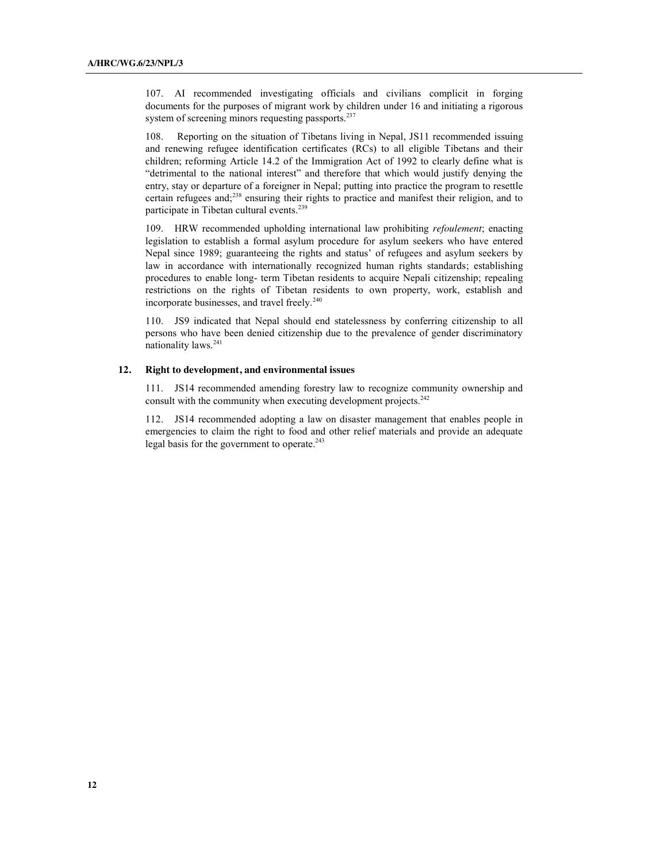107. AI recommended investigating officials and civilians complicit in forging documents for the purposes of migrant work by children under 16 and initiating a rigorous system of screening minors requesting passports.<sup>237</sup>

108. Reporting on the situation of Tibetans living in Nepal, JS11 recommended issuing and renewing refugee identification certificates (RCs) to all eligible Tibetans and their children; reforming Article 14.2 of the Immigration Act of 1992 to clearly define what is "detrimental to the national interest" and therefore that which would justify denying the entry, stay or departure of a foreigner in Nepal; putting into practice the program to resettle certain refugees and;238 ensuring their rights to practice and manifest their religion, and to participate in Tibetan cultural events.<sup>239</sup>

109. HRW recommended upholding international law prohibiting *refoulement*; enacting legislation to establish a formal asylum procedure for asylum seekers who have entered Nepal since 1989; guaranteeing the rights and status' of refugees and asylum seekers by law in accordance with internationally recognized human rights standards; establishing procedures to enable long- term Tibetan residents to acquire Nepali citizenship; repealing restrictions on the rights of Tibetan residents to own property, work, establish and incorporate businesses, and travel freely.<sup>240</sup>

110. JS9 indicated that Nepal should end statelessness by conferring citizenship to all persons who have been denied citizenship due to the prevalence of gender discriminatory nationality laws.241

### **12. Right to development, and environmental issues**

111. JS14 recommended amending forestry law to recognize community ownership and consult with the community when executing development projects.<sup>242</sup>

112. JS14 recommended adopting a law on disaster management that enables people in emergencies to claim the right to food and other relief materials and provide an adequate legal basis for the government to operate. 243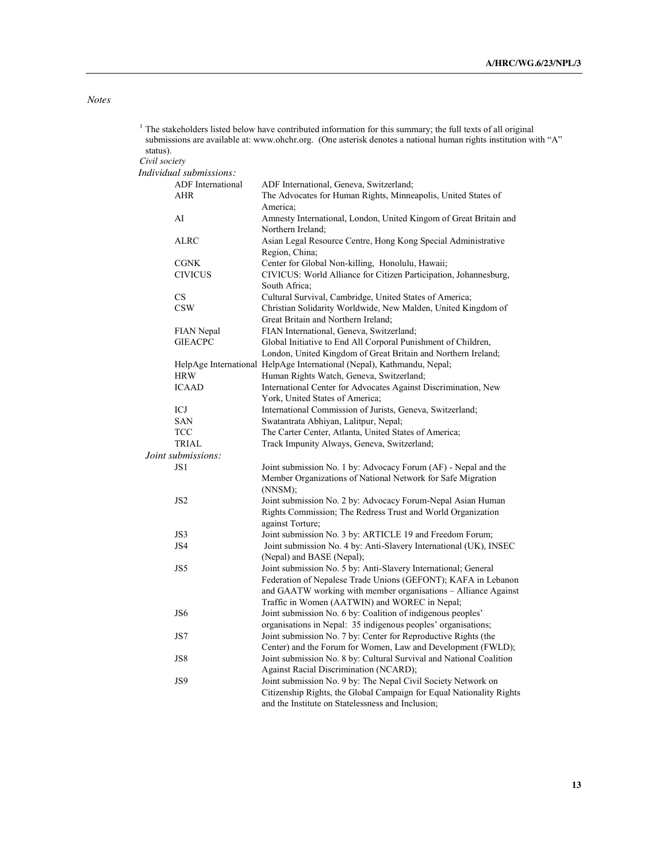## *Notes*

|               |                         | The stakeholders listed below have contributed information for this summary; the full texts of all original<br>submissions are available at: www.ohchr.org. (One asterisk denotes a national human rights institution with "A" |
|---------------|-------------------------|--------------------------------------------------------------------------------------------------------------------------------------------------------------------------------------------------------------------------------|
| status).      |                         |                                                                                                                                                                                                                                |
| Civil society |                         |                                                                                                                                                                                                                                |
|               | Individual submissions: |                                                                                                                                                                                                                                |
|               | ADF International       | ADF International, Geneva, Switzerland;                                                                                                                                                                                        |
|               | AHR                     | The Advocates for Human Rights, Minneapolis, United States of                                                                                                                                                                  |
|               |                         | America;                                                                                                                                                                                                                       |
|               | AI                      | Amnesty International, London, United Kingom of Great Britain and<br>Northern Ireland;                                                                                                                                         |
|               | <b>ALRC</b>             | Asian Legal Resource Centre, Hong Kong Special Administrative                                                                                                                                                                  |
|               |                         | Region, China;                                                                                                                                                                                                                 |
|               | <b>CGNK</b>             | Center for Global Non-killing, Honolulu, Hawaii;                                                                                                                                                                               |
|               | <b>CIVICUS</b>          | CIVICUS: World Alliance for Citizen Participation, Johannesburg,                                                                                                                                                               |
|               |                         | South Africa;                                                                                                                                                                                                                  |
|               | CS                      |                                                                                                                                                                                                                                |
|               |                         | Cultural Survival, Cambridge, United States of America;                                                                                                                                                                        |
|               | <b>CSW</b>              | Christian Solidarity Worldwide, New Malden, United Kingdom of                                                                                                                                                                  |
|               |                         | Great Britain and Northern Ireland;                                                                                                                                                                                            |
|               | FIAN Nepal              | FIAN International, Geneva, Switzerland;                                                                                                                                                                                       |
|               | <b>GIEACPC</b>          | Global Initiative to End All Corporal Punishment of Children,                                                                                                                                                                  |
|               |                         | London, United Kingdom of Great Britain and Northern Ireland;                                                                                                                                                                  |
|               |                         | HelpAge International HelpAge International (Nepal), Kathmandu, Nepal;                                                                                                                                                         |
|               | <b>HRW</b>              | Human Rights Watch, Geneva, Switzerland;                                                                                                                                                                                       |
|               | <b>ICAAD</b>            | International Center for Advocates Against Discrimination, New                                                                                                                                                                 |
|               |                         | York, United States of America;                                                                                                                                                                                                |
|               | ICJ                     | International Commission of Jurists, Geneva, Switzerland;                                                                                                                                                                      |
|               | SAN                     | Swatantrata Abhiyan, Lalitpur, Nepal;                                                                                                                                                                                          |
|               | <b>TCC</b>              | The Carter Center, Atlanta, United States of America;                                                                                                                                                                          |
|               | <b>TRIAL</b>            | Track Impunity Always, Geneva, Switzerland;                                                                                                                                                                                    |
|               | Joint submissions:      |                                                                                                                                                                                                                                |
|               | JS1                     | Joint submission No. 1 by: Advocacy Forum (AF) - Nepal and the                                                                                                                                                                 |
|               |                         | Member Organizations of National Network for Safe Migration                                                                                                                                                                    |
|               |                         | (NNSM);                                                                                                                                                                                                                        |
|               | JS <sub>2</sub>         | Joint submission No. 2 by: Advocacy Forum-Nepal Asian Human                                                                                                                                                                    |
|               |                         | Rights Commission; The Redress Trust and World Organization                                                                                                                                                                    |
|               |                         | against Torture;                                                                                                                                                                                                               |
|               | JS3                     | Joint submission No. 3 by: ARTICLE 19 and Freedom Forum;                                                                                                                                                                       |
|               | JS4                     | Joint submission No. 4 by: Anti-Slavery International (UK), INSEC                                                                                                                                                              |
|               |                         | (Nepal) and BASE (Nepal);                                                                                                                                                                                                      |
|               | JS5                     | Joint submission No. 5 by: Anti-Slavery International; General                                                                                                                                                                 |
|               |                         | Federation of Nepalese Trade Unions (GEFONT); KAFA in Lebanon                                                                                                                                                                  |
|               |                         | and GAATW working with member organisations - Alliance Against                                                                                                                                                                 |
|               |                         | Traffic in Women (AATWIN) and WOREC in Nepal;                                                                                                                                                                                  |
|               | JS6                     | Joint submission No. 6 by: Coalition of indigenous peoples'                                                                                                                                                                    |
|               |                         | organisations in Nepal: 35 indigenous peoples' organisations;                                                                                                                                                                  |
|               | JS7                     | Joint submission No. 7 by: Center for Reproductive Rights (the                                                                                                                                                                 |
|               |                         | Center) and the Forum for Women, Law and Development (FWLD);                                                                                                                                                                   |
|               | JS8                     | Joint submission No. 8 by: Cultural Survival and National Coalition                                                                                                                                                            |
|               |                         | <b>Against Racial Discrimination (NCARD);</b>                                                                                                                                                                                  |
|               | JS9                     | Joint submission No. 9 by: The Nepal Civil Society Network on                                                                                                                                                                  |
|               |                         | Citizenship Rights, the Global Campaign for Equal Nationality Rights                                                                                                                                                           |
|               |                         | and the Institute on Statelessness and Inclusion;                                                                                                                                                                              |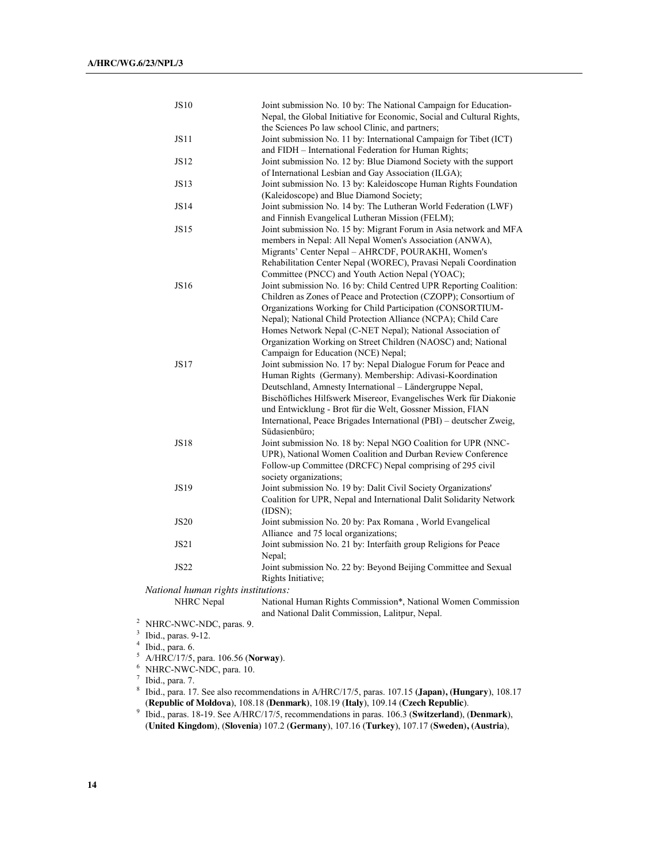| <b>JS10</b>                         | Joint submission No. 10 by: The National Campaign for Education-       |
|-------------------------------------|------------------------------------------------------------------------|
|                                     | Nepal, the Global Initiative for Economic, Social and Cultural Rights, |
|                                     | the Sciences Po law school Clinic, and partners;                       |
| <b>JS11</b>                         | Joint submission No. 11 by: International Campaign for Tibet (ICT)     |
|                                     | and FIDH - International Federation for Human Rights;                  |
| JS12                                | Joint submission No. 12 by: Blue Diamond Society with the support      |
|                                     | of International Lesbian and Gay Association (ILGA);                   |
| <b>JS13</b>                         | Joint submission No. 13 by: Kaleidoscope Human Rights Foundation       |
|                                     | (Kaleidoscope) and Blue Diamond Society;                               |
| JS14                                | Joint submission No. 14 by: The Lutheran World Federation (LWF)        |
|                                     | and Finnish Evangelical Lutheran Mission (FELM);                       |
| <b>JS15</b>                         | Joint submission No. 15 by: Migrant Forum in Asia network and MFA      |
|                                     | members in Nepal: All Nepal Women's Association (ANWA),                |
|                                     | Migrants' Center Nepal - AHRCDF, POURAKHI, Women's                     |
|                                     | Rehabilitation Center Nepal (WOREC), Pravasi Nepali Coordination       |
|                                     | Committee (PNCC) and Youth Action Nepal (YOAC);                        |
| JS16                                | Joint submission No. 16 by: Child Centred UPR Reporting Coalition:     |
|                                     | Children as Zones of Peace and Protection (CZOPP); Consortium of       |
|                                     | Organizations Working for Child Participation (CONSORTIUM-             |
|                                     | Nepal); National Child Protection Alliance (NCPA); Child Care          |
|                                     | Homes Network Nepal (C-NET Nepal); National Association of             |
|                                     | Organization Working on Street Children (NAOSC) and; National          |
|                                     | Campaign for Education (NCE) Nepal;                                    |
| <b>JS17</b>                         | Joint submission No. 17 by: Nepal Dialogue Forum for Peace and         |
|                                     | Human Rights (Germany). Membership: Adivasi-Koordination               |
|                                     | Deutschland, Amnesty International - Ländergruppe Nepal,               |
|                                     | Bischöfliches Hilfswerk Misereor, Evangelisches Werk für Diakonie      |
|                                     | und Entwicklung - Brot für die Welt, Gossner Mission, FIAN             |
|                                     | International, Peace Brigades International (PBI) - deutscher Zweig,   |
|                                     | Südasienbüro;                                                          |
| <b>JS18</b>                         | Joint submission No. 18 by: Nepal NGO Coalition for UPR (NNC-          |
|                                     | UPR), National Women Coalition and Durban Review Conference            |
|                                     | Follow-up Committee (DRCFC) Nepal comprising of 295 civil              |
|                                     | society organizations;                                                 |
| <b>JS19</b>                         | Joint submission No. 19 by: Dalit Civil Society Organizations'         |
|                                     | Coalition for UPR, Nepal and International Dalit Solidarity Network    |
|                                     | (IDSN);                                                                |
| <b>JS20</b>                         | Joint submission No. 20 by: Pax Romana, World Evangelical              |
|                                     | Alliance and 75 local organizations;                                   |
| JS21                                | Joint submission No. 21 by: Interfaith group Religions for Peace       |
|                                     | Nepal;                                                                 |
| <b>JS22</b>                         | Joint submission No. 22 by: Beyond Beijing Committee and Sexual        |
|                                     | Rights Initiative;                                                     |
| National human rights institutions: |                                                                        |
| NHRC Nepal                          | National Human Rights Commission*, National Women Commission           |
|                                     | and National Dalit Commission, Lalitpur, Nepal.                        |
| 2<br>NHRC-NWC-NDC, paras. 9.        |                                                                        |
| 3<br>Ibid., paras. 9-12.            |                                                                        |
| 4<br>Ibid., para. 6.                |                                                                        |
|                                     |                                                                        |

- <sup>5</sup> A/HRC/17/5, para. 106.56 (**Norway**).<br>
<sup>6</sup> NHRC-NWC-NDC, para. 10.<br>
<sup>7</sup> Ibid., para. 7.
- 
- 
- <sup>8</sup> Ibid., para. 17. See also recommendations in A/HRC/17/5, paras. 107.15 (Japan), (Hungary), 108.17 (**Republic of Moldova**), 108.18 (**Denmark)**, 108.19 (**Italy**), 109.14 (**Czech Republic**).
- <sup>9</sup> Ibid., paras. 18-19. See A/HRC/17/5, recommendations in paras. 106.3 (**Switzerland**), (**Denmark**), (**United Kingdom**), (**Slovenia**) 107.2 (**Germany**), 107.16 (**Turkey**), 107.17 (**Sweden), (Austria**),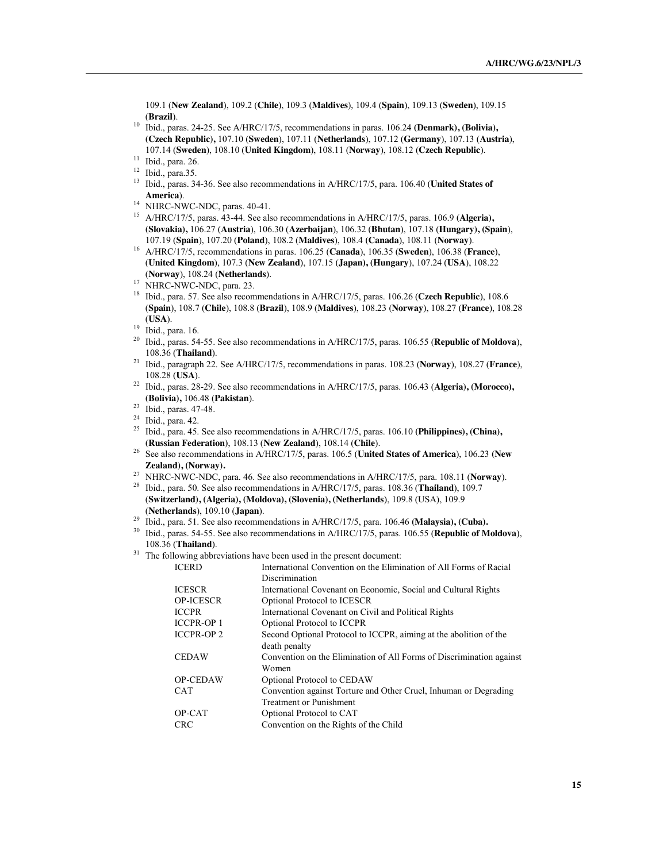109.1 (**New Zealand**), 109.2 (**Chile**), 109.3 (**Maldives**), 109.4 (**Spain**), 109.13 (**Sweden**), 109.15 (**Brazil**).

<sup>10</sup> Ibid., paras. 24-25. See A/HRC/17/5, recommendations in paras. 106.24 **(Denmark), (Bolivia), (Czech Republic),** 107.10 (**Sweden**), 107.11 (**Netherlands**), 107.12 (**Germany**), 107.13 (**Austria**), 107.14 (**Sweden**), 108.10 (**United Kingdom**), 108.11 (**Norway**), 108.12 (**Czech Republic**).

- 
- <sup>11</sup> Ibid., para. 26. 12 Ibid., para.35. 13 Ibid., paras. 34-36. See also recommendations in A/HRC/17/5, para. 106.40 (**United States of**
- **America**).<br><sup>14</sup> NHRC-NWC-NDC, paras. 40-41.
- <sup>15</sup> A/HRC/17/5, paras. 43-44. See also recommendations in A/HRC/17/5, paras. 106.9 (Algeria), **(Slovakia),** 106.27 (**Austria**), 106.30 (**Azerbaijan**), 106.32 (**Bhutan**), 107.18 (**Hungary), (Spain**),
- $^{16}$  A/HRC/17/5, recommendations in paras. 106.25 (Canada), 106.35 (Sweden), 106.38 (France), (**United Kingdom**), 107.3 (**New Zealand**), 107.15 (**Japan), (Hungary**), 107.24 (**USA**), 108.22

(**Norway**), 108.24 (**Netherlands**). <sup>17</sup> NHRC-NWC-NDC, para. 23. 18 Ibid., para. 57. See also recommendations in A/HRC/17/5, paras. 106.26 (**Czech Republic**), 108.6 (**Spain**), 108.7 (**Chile**), 108.8 (**Brazil**), 108.9 (**Maldives**), 108.23 (**Norway**), 108.27 (**France**), 108.28 (**USA**).

- <sup>20</sup> Ibid., paras. 54-55. See also recommendations in A/HRC/17/5, paras. 106.55 (**Republic of Moldova**), 108.36 (**Thailand**).
- <sup>21</sup> Ibid., paragraph 22. See A/HRC/17/5, recommendations in paras. 108.23 (**Norway**), 108.27 (**France**),
- 108.28 (**USA**). <sup>22</sup> Ibid., paras. 28-29. See also recommendations in A/HRC/17/5, paras. 106.43 (**Algeria), (Morocco), (Bolivia),** 106.48 (**Pakistan**).
- $^{23}$  Ibid., paras. 47-48.<br><sup>24</sup> Ibid., para. 42.
- 
- <sup>25</sup> Ibid., para. 45. See also recommendations in  $A/HRC/17/5$ , paras. 106.10 **(Philippines), (China), <b>(Russian Federation**), 108.13 **(New Zealand**), 108.14 **(Chile**).
- <sup>26</sup> See also recommendations in A/HRC/17/5, paras. 106.5 **(United States of America**), 106.23 **(New Zealand), (Norway).**
- <sup>27</sup> NHRC-NWC-NDC, para. 46. See also recommendations in A/HRC/17/5, para. 108.11 (**Norway**). <sup>28</sup> Ibid., para. 50. See also recommendations in A/HRC/17/5, paras. 108.36 (**Thailand**), 109.7
- (**Switzerland), (Algeria), (Moldova), (Slovenia), (Netherlands**), 109.8 (USA), 109.9
- (**Netherlands**), 109.10 (**Japan**). <sup>29</sup> Ibid., para. 51. See also recommendations in A/HRC/17/5, para. 106.46 **(Malaysia), (Cuba).**
- <sup>30</sup> Ibid., paras. 54-55. See also recommendations in A/HRC/17/5, paras. 106.55 (**Republic of Moldova**), 108.36 (**Thailand**). <sup>31</sup> The following abbreviations have been used in the present document:
- 

| <b>ICERD</b>      | International Convention on the Elimination of All Forms of Racial   |
|-------------------|----------------------------------------------------------------------|
|                   | Discrimination                                                       |
| <b>ICESCR</b>     | International Covenant on Economic, Social and Cultural Rights       |
| <b>OP-ICESCR</b>  | Optional Protocol to ICESCR                                          |
| <b>ICCPR</b>      | International Covenant on Civil and Political Rights                 |
| <b>ICCPR-OP1</b>  | Optional Protocol to ICCPR                                           |
| <b>ICCPR-OP 2</b> | Second Optional Protocol to ICCPR, aiming at the abolition of the    |
|                   | death penalty                                                        |
| <b>CEDAW</b>      | Convention on the Elimination of All Forms of Discrimination against |
|                   | Women                                                                |
| <b>OP-CEDAW</b>   | Optional Protocol to CEDAW                                           |
| <b>CAT</b>        | Convention against Torture and Other Cruel, Inhuman or Degrading     |
|                   | <b>Treatment or Punishment</b>                                       |
| OP-CAT            | Optional Protocol to CAT                                             |
| <b>CRC</b>        | Convention on the Rights of the Child                                |
|                   |                                                                      |

 $\frac{19}{20}$  Ibid., para. 16.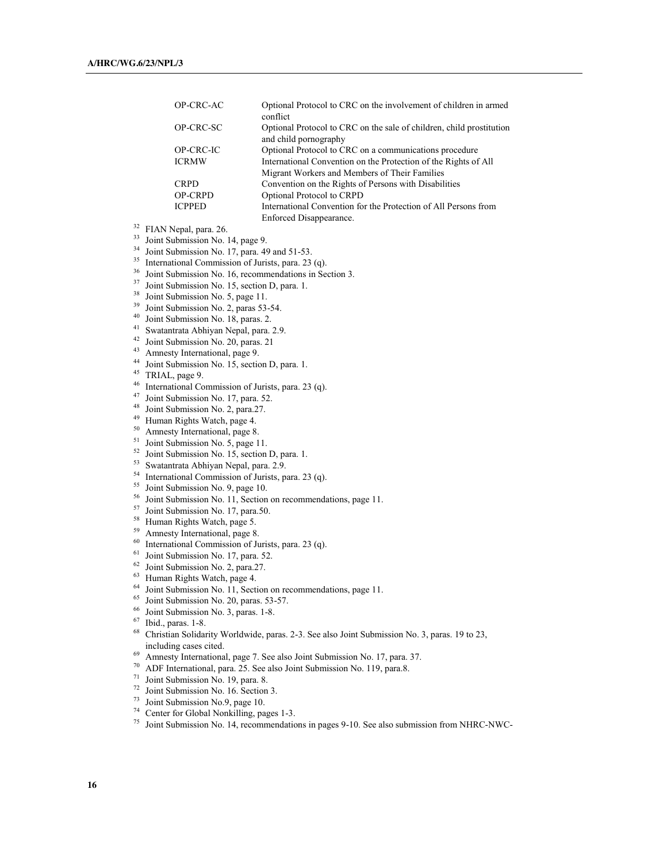| OP-CRC-AC      | Optional Protocol to CRC on the involvement of children in armed<br>conflict                  |
|----------------|-----------------------------------------------------------------------------------------------|
| OP-CRC-SC      | Optional Protocol to CRC on the sale of children, child prostitution<br>and child pornography |
| OP-CRC-IC      | Optional Protocol to CRC on a communications procedure                                        |
| <b>ICRMW</b>   | International Convention on the Protection of the Rights of All                               |
|                | Migrant Workers and Members of Their Families                                                 |
| <b>CRPD</b>    | Convention on the Rights of Persons with Disabilities                                         |
| <b>OP-CRPD</b> | Optional Protocol to CRPD                                                                     |
| <b>ICPPED</b>  | International Convention for the Protection of All Persons from                               |
|                | Enforced Disappearance.                                                                       |

- <sup>32</sup> FIAN Nepal, para. 26.
- <sup>33</sup> Joint Submission No. 14, page 9.
- $34$  Joint Submission No. 17, para. 49 and 51-53.
- 
- <sup>35</sup> International Commission of Jurists, para. 23 (q).<br><sup>36</sup> Joint Submission No. 16, recommendations in Section 3. <sup>36</sup> Joint Submission No. 16, recommendations in Section 3.<br><sup>37</sup> Joint Submission No. 15, section D, para. 1.<br><sup>38</sup> Joint Submission No. 5, page 11.<br><sup>39</sup> Joint Submission No. 2, paras 53-54.<br><sup>40</sup> Joint Submission No. 18, pa
- 
- 
- 
- 
- 
- 
- 
- 
- 
- 
- 47 Joint Submission No. 17, para. 52.<br>48 Joint Submission No. 2, para. 27.
- 
- <sup>49</sup> Human Rights Watch, page 4.
- 
- $^{50}$  Amnesty International, page 8.<br> $^{51}$  Joint Submission No. 5, page 11.
- 
- 
- <sup>52</sup> Joint Submission No. 15, section D, para. 1.<br><sup>53</sup> Swatantrata Abhiyan Nepal, para. 2.9.<br><sup>54</sup> International Commission of Jurists, para. 23 (q).<br><sup>55</sup> Joint Submission No. 9, page 10.
- 
- <sup>56</sup> Joint Submission No. 11, Section on recommendations, page 11.<br><sup>57</sup> Joint Submission No. 17, para.50.<br><sup>58</sup> Human Rights Watch, page 5.<br><sup>59</sup> Amnesty International, page 8.<br><sup>60</sup> International Commission of Jurists, para
- 
- 
- 
- 
- <sup>61</sup> Joint Submission No. 17, para. 52.<br><sup>62</sup> Joint Submission No. 2, para. 27.
- 
- $63$  Human Rights Watch, page 4.
- <sup>64</sup> Joint Submission No. 11, Section on recommendations, page 11.<br><sup>65</sup> Joint Submission No. 20, paras. 53-57.<br><sup>66</sup> Joint Submission No. 3, paras. 1-8.<br><sup>67</sup> Joint Submission No. 3, paras. 1-8.
- 
- 
- Ibid., paras. 1-8.
- <sup>68</sup> Christian Solidarity Worldwide, paras. 2-3. See also Joint Submission No. 3, paras. 19 to 23, including cases cited. 69 Amnesty International, page 7. See also Joint Submission No. 17, para. 37.
- 
- <sup>70</sup> ADF International, para. 25. See also Joint Submission No. 119, para.8.
- <sup>71</sup> Joint Submission No. 19, para. 8.
- <sup>72</sup> Joint Submission No. 16. Section 3.<br><sup>73</sup> Joint Submission No.9, page 10.
- 
- <sup>74</sup> Center for Global Nonkilling, pages 1-3.
- <sup>75</sup> Joint Submission No. 14, recommendations in pages 9-10. See also submission from NHRC-NWC-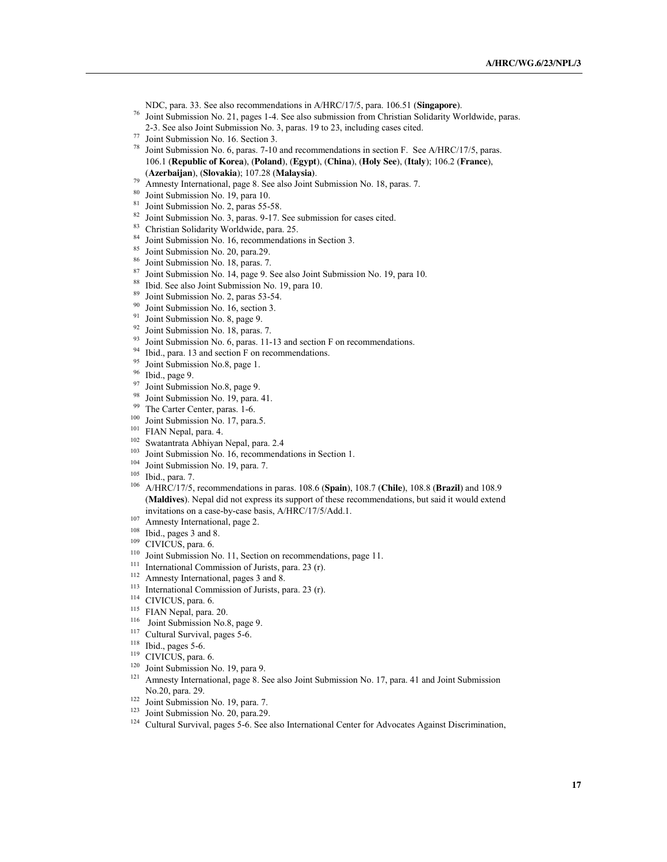- NDC, para. 33. See also recommendations in A/HRC/17/5, para. 106.51 (**Singapore**).<br>Joint Submission No. 21, pages 1-4. See also submission from Christian Solidarity Worldwide, paras.
- 
- 
- 
- 2-3. See also Joint Submission No. 3, paras. 19 to 23, including cases cited.<br><sup>77</sup> Joint Submission No. 16. Section 3.<br><sup>78</sup> Joint Submission No. 6, paras. 7-10 and recommendations in section F. See A/HRC/17/5, paras. 106.1 (**Republic of Korea**), (**Poland**), (**Egypt**), (**China**), (**Holy See**), (**Italy**); 106.2 (**France**),
- (**Azerbaijan**), (**Slovakia**); 107.28 (**Malaysia)**. 79 Amnesty International, page 8. See also Joint Submission No. 18, paras. 7.
- 
- 
- <sup>80</sup> Joint Submission No. 19, para 10.<br><sup>81</sup> Joint Submission No. 2, paras 55-58.<br><sup>82</sup> Joint Submission No. 3, paras. 9-17. See submission for cases cited.
- 
- <sup>83</sup> Christian Solidarity Worldwide, para. 25.<br><sup>84</sup> Joint Submission No. 16, recommendations in Section 3.<br><sup>85</sup> Joint Submission No. 20, para. 29.<br><sup>86</sup> Joint Submission No. 18, paras. 7.
- 
- 
- <sup>87</sup> Joint Submission No. 14, page 9. See also Joint Submission No. 19, para 10.
- <sup>88</sup> Ibid. See also Joint Submission No. 19, para 10.
- <sup>89</sup> Joint Submission No. 2, paras 53-54.<br><sup>90</sup> Joint Submission No. 16, section 3.
- 
- 
- 
- <sup>91</sup> Joint Submission No. 8, page 9.<br><sup>92</sup> Joint Submission No. 18, paras. 7.<br><sup>93</sup> Joint Submission No. 6, paras. 11-13 and section F on recommendations.<br><sup>94</sup> Ibid., para. 13 and section F on recommendations.<br><sup>95</sup> Joint Su
- 
- 
- 
- 
- 
- 
- 
- 
- 
- 
- 
- 
- <sup>99</sup> The Carter Center, paras. 1-6.<br>
<sup>100</sup> Joint Submission No. 17, para.5.<br>
<sup>101</sup> FIAN Nepal, para. 4.<br>
<sup>102</sup> Swatantrata Abhiyan Nepal, para. 2.4<br>
<sup>103</sup> Joint Submission No. 16, recommendations in Section 1.<br>
<sup>104</sup> Join (**Maldives**). Nepal did not express its support of these recommendations, but said it would extend invitations on a case-by-case basis, A/HRC/17/5/Add.1.<br><sup>107</sup> Amnesty International, page 2.
- 
- 
- 
- <sup>108</sup> Ibid., pages 3 and 8.<br><sup>109</sup> CIVICUS, para. 6. 110 Joint Submission No. 11, Section on recommendations, page 11.<br><sup>111</sup> Joint Submission No. 11, Section on recommendations, page 11.
- <sup>111</sup> International Commission of Jurists, para. 23 (r).<br><sup>112</sup> Amnosty International names 2 and 9
- 
- <sup>112</sup> Amnesty International, pages 3 and 8.<br><sup>113</sup> International Commission of Jurists, para. 23 (r).<br><sup>114</sup> CIVICUS, para. 6.
- 
- 
- <sup>115</sup> FIAN Nepal, para. 20. 116 Joint Submission No.8, page 9. 117 Cyltural Survival neces 5.6.
- $117$  Cultural Survival, pages 5-6.<br> $118$  Thid, pages 5-6.
- $\frac{118}{119}$  Ibid., pages 5-6.
- CIVICUS, para. 6.
- 
- <sup>120</sup> Joint Submission No. 19, para 9.<br><sup>121</sup> Amnesty International, page 8. See also Joint Submission No. 17, para. 41 and Joint Submission No.20, para. 29.
- 
- 
- <sup>122</sup> Joint Submission No. 19, para. 7.<br><sup>123</sup> Joint Submission No. 20, para.29.<br><sup>124</sup> Cultural Survival, pages 5-6. See also International Center for Advocates Against Discrimination,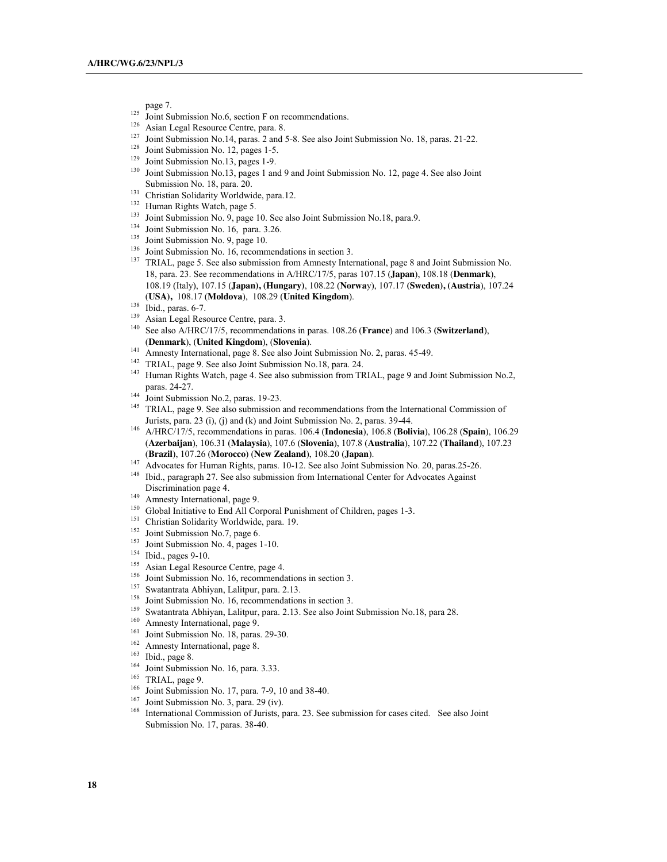page 7.

- 
- 
- <sup>125</sup> Joint Submission No.6, section F on recommendations.<br><sup>126</sup> Asian Legal Resource Centre, para. 8.<br><sup>127</sup> Joint Submission No.14, paras. 2 and 5-8. See also Joint Submission No. 18, paras. 21-22.<br><sup>128</sup> Joint Submission
- 
- 
- <sup>128</sup> Joint Submission No. 12, pages 1-5.<br><sup>129</sup> Joint Submission No.13, pages 1-9.<br><sup>130</sup> Joint Submission No.13, pages 1 and 9 and Joint Submission No. 12, page 4. See also Joint Submission No. 18, para. 20.
- <sup>131</sup> Christian Solidarity Worldwide, para.12.<br><sup>132</sup> Human Rights Watch, page 5.
- 
- <sup>133</sup> Joint Submission No. 9, page 10. See also Joint Submission No.18, para.9.
- 
- 
- <sup>134</sup> Joint Submission No. 16, para. 3.26.<br><sup>135</sup> Joint Submission No. 9, page 10.<br><sup>136</sup> Joint Submission No. 16, recommendations in section 3.
- <sup>137</sup> TRIAL, page 5. See also submission from Amnesty International, page 8 and Joint Submission No. 18, para. 23. See recommendations in A/HRC/17/5, paras 107.15 (**Japan**), 108.18 (**Denmark**), 108.19 (Italy), 107.15 (**Japan), (Hungary)**, 108.22 (**Norwa**y), 107.17 **(Sweden), (Austria**), 107.24 (**USA),** 108.17 (**Moldova**), 108.29 (**United Kingdom**).
- 
- 
- <sup>139</sup> Asian Legal Resource Centre, para. 3. <sup>140</sup> See also A/HRC/17/5, recommendations in paras. 108.26 (**France**) and 106.3 (**Switzerland**), (**Denmark**), (**United Kingdom**), (**Slovenia**). <sup>141</sup> Amnesty International, page 8. See also Joint Submission No. 2, paras. 45-49.
- 
- <sup>142</sup> TRIAL, page 9. See also Joint Submission No.18, para. 24.
- <sup>143</sup> Human Rights Watch, page 4. See also submission from TRIAL, page 9 and Joint Submission No.2, paras. 24-27.<br>Joint Submission No.2, paras. 19-23.
- 
- 144 Joint Submission No.2, paras. 19-23.<br><sup>145</sup> TRIAL, page 9. See also submission and recommendations from the International Commission of Jurists, para. 23 (i), (j) and (k) and Joint Submission No. 2, paras. 39-44.
- <sup>146</sup> A/HRC/17/5, recommendations in paras. 106.4 (**Indonesia**), 106.8 (**Bolivia**), 106.28 (**Spain**), 106.29 (**Azerbaijan**), 106.31 (**Malaysia**), 107.6 (**Slovenia**), 107.8 (**Australia**), 107.22 (**Thailand**), 107.23 (**Brazil**), 107.26 (**Morocco**) (**New Zealand**), 108.20 (**Japan**).
- <sup>147</sup> Advocates for Human Rights, paras. 10-12. See also Joint Submission No. 20, paras.25-26.
- <sup>148</sup> Ibid., paragraph 27. See also submission from International Center for Advocates Against Discrimination page 4.<br>Amnesty International, page 9.
- 
- <sup>150</sup> Global Initiative to End All Corporal Punishment of Children, pages 1-3.
- <sup>151</sup> Christian Solidarity Worldwide, para. 19.<br><sup>152</sup> Joint Submission No.7, page 6.
- 
- <sup>153</sup> Joint Submission No. 4, pages 1-10.<br><sup>154</sup> Ibid., pages 9-10.
- 
- 
- <sup>155</sup> Asian Legal Resource Centre, page 4.<br><sup>156</sup> Joint Submission No. 16, recommendations in section 3.<br><sup>157</sup> Swatantrata Abhiyan, Lalitpur, para. 2.13.<br><sup>158</sup> Joint Submission No. 14, recommendations in section 3.
- 
- 
- <sup>158</sup> Joint Submission No. 16, recommendations in section 3.<br><sup>159</sup> Swatantrata Abhiyan, Lalitpur, para. 2.13. See also Joint Submission No.18, para 28.<br><sup>160</sup> Amnasty International nace 0.
- 
- <sup>160</sup> Amnesty International, page 9.<br><sup>161</sup> Joint Submission No. 18, paras. 29-30.<br><sup>162</sup> Amnesty International, page 8.<br><sup>163</sup> Ibid. page 8.
- 
- 
- 
- 
- 
- 
- <sup>163</sup> Ibid., page 8.<br><sup>164</sup> Joint Submission No. 16, para. 3.33.<br><sup>165</sup> TRIAL, page 9.<br><sup>166</sup> Joint Submission No. 17, para. 7-9, 10 and 38-40.<br><sup>167</sup> Joint Submission No. 3, para. 29 (iv).<br><sup>167</sup> Joint Submission No. 3, para. Submission No. 17, paras. 38-40.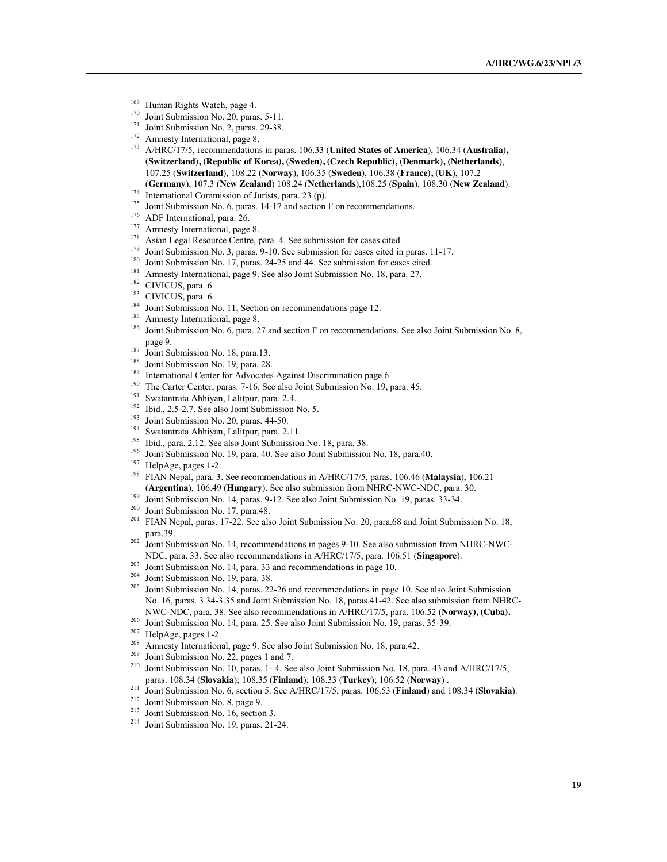- $^{169}$  Human Rights Watch, page 4.
- 
- <sup>170</sup> Joint Submission No. 20, paras. 5-11.<br><sup>171</sup> Joint Submission No. 2, paras. 29-38.<br><sup>172</sup> Amnesty International, page 8.<br><sup>173</sup> A/UDC/17/5 recommendations in page
- 
- <sup>173</sup> A/HRC/17/5, recommendations in paras. 106.33 (**United States of America**), 106.34 (**Australia), (Switzerland), (Republic of Korea), (Sweden), (Czech Republic), (Denmark), (Netherlands**), 107.25 (**Switzerland**), 108.22 (**Norway**), 106.35 (**Sweden)**, 106.38 (**France), (UK**), 107.2 (**Germany**), 107.3 (**New Zealand**) 108.24 (**Netherlands**),108.25 (**Spain**), 108.30 (**New Zealand**).
- 
- <sup>175</sup> Joint Submission No. 6, paras. 14-17 and section F on recommendations.<br><sup>176</sup> ADF International, para. 26.<br><sup>177</sup> Amnesty International, page 8.
- 
- 
- <sup>178</sup> Asian Legal Resource Centre, para. 4. See submission for cases cited.
- <sup>179</sup> Joint Submission No. 3, paras. 9-10. See submission for cases cited in paras. 11-17.<br><sup>180</sup> Joint Submission No. 17, paras. 24-25 and 44. See submission for cases cited.<br><sup>181</sup> Amnasty International gaps 0. See also J
- 
- <sup>181</sup> Amnesty International, page 9. See also Joint Submission No. 18, para. 27.<br><sup>182</sup> CIVICUS para. 6.
- 
- 
- 
- 
- <sup>183</sup> CIVICUS, para. 6.<br><sup>184</sup> Joint Submission No. 11, Section on recommendations page 12.<br><sup>185</sup> Amnesty International, page 8.<br><sup>185</sup> Joint Submission No. 6, para. 27 and section F on recommendations. See also Joint Submi page 9.
- 
- 
- <sup>187</sup> Joint Submission No. 18, para. 13.<br><sup>188</sup> Joint Submission No. 19, para. 28.<br><sup>189</sup> International Center for Advocates Against Discrimination page 6.<br><sup>190</sup> The Center Center page 7, 16, See also Joint Submission No. 1
- <sup>190</sup> The Carter Center, paras. 7-16. See also Joint Submission No. 19, para. 45.
- <sup>191</sup> Swatantrata Abhiyan, Lalitpur, para. 2.4.<br><sup>192</sup> Ibid. 2.5.2.7. See also Joint Submission.
- <sup>192</sup> Ibid., 2.5-2.7. See also Joint Submission No. 5.<br><sup>193</sup> Isint Submission N<sub>2</sub> 20 name 44.50
- 
- <sup>193</sup> Joint Submission No. 20, paras. 44-50.<br><sup>194</sup> Swatantrata Abhiyan, Lalitpur, para. 2.11.<br><sup>195</sup> Ibid. gara. 2.12. See also Joint Submission
- <sup>195</sup> Ibid., para. 2.12. See also Joint Submission No. 18, para. 38.<br><sup>196</sup> Isint Submission No. 10, name 40. See also Joint Submission
- <sup>196</sup> Joint Submission No. 19, para. 40. See also Joint Submission No. 18, para. 40. HelpAge, pages 1-2.
- 
- <sup>198</sup> FIAN Nepal, para. 3. See recommendations in A/HRC/17/5, paras. 106.46 (Malaysia), 106.21 (**Argentina**), 106.49 (**Hungary**). See also submission from NHRC-NWC-NDC, para. 30. 199 Joint Submission No. 14, paras. 9-12. See also Joint Submission No. 19, paras. 33-34.
- 
- 
- <sup>201</sup> FIAN Nepal, paras. 17-22. See also Joint Submission No. 20, para.68 and Joint Submission No. 18, para.39.
- $202$  Joint Submission No. 14, recommendations in pages 9-10. See also submission from NHRC-NWC-NDC, para. 33. See also recommendations in A/HRC/17/5, para. 106.51 (**Singapore**).
- 
- 
- <sup>203</sup> Joint Submission No. 14, para. 33 and recommendations in page 10.<br><sup>204</sup> Joint Submission No. 19, para. 38.<br><sup>205</sup> Joint Submission No. 14, paras. 22-26 and recommendations in page 10. See also Joint Submission No. 16, paras. 3.34-3.35 and Joint Submission No. 18, paras.41-42. See also submission from NHRC-NWC-NDC, para. 38. See also recommendations in A/HRC/17/5, para. 106.52 (**Norway), (Cuba).**<br><sup>206</sup> Joint Submission No. 14, para. 25. See also Joint Submission No. 19, paras. 35-39.<br><sup>207</sup> Help A.co. paces 1.2.
- 
- 
- <sup>207</sup> HelpAge, pages 1-2.<br><sup>208</sup> Amnesty International, page 9. See also Joint Submission No. 18, para.42.<br><sup>209</sup> Ioint Submission No. 22, pages 1 and 7.
- 
- <sup>209</sup> Joint Submission No. 22, pages 1 and 7.<br><sup>210</sup> Joint Submission No. 10, paras. 1- 4. See also Joint Submission No. 18, para. 43 and A/HRC/17/5, paras. 108.34 (Slovakia); 108.35 (Finland); 108.33 (Turkey); 106.52 (Norway).<br>
<sup>211</sup> Joint Submission No. 6, section 5. See A/HRC/17/5, paras. 106.53 (Finland) and 108.34 (Slovakia).<br>
<sup>212</sup> Joint Submission No. 16, section
- 
- 
- 
-